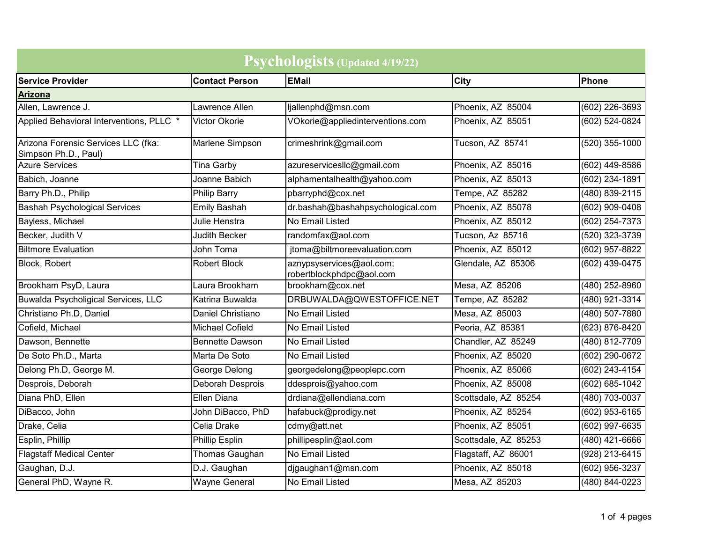| Psychologists (Updated 4/19/22)                             |                        |                                                      |                      |                    |
|-------------------------------------------------------------|------------------------|------------------------------------------------------|----------------------|--------------------|
| <b>Service Provider</b>                                     | <b>Contact Person</b>  | <b>EMail</b>                                         | <b>City</b>          | Phone              |
| <b>Arizona</b>                                              |                        |                                                      |                      |                    |
| Allen, Lawrence J.                                          | Lawrence Allen         | ljallenphd@msn.com                                   | Phoenix, AZ 85004    | $(602)$ 226-3693   |
| Applied Behavioral Interventions, PLLC *                    | Victor Okorie          | VOkorie@appliedinterventions.com                     | Phoenix, AZ 85051    | $(602) 524 - 0824$ |
| Arizona Forensic Services LLC (fka:<br>Simpson Ph.D., Paul) | Marlene Simpson        | crimeshrink@gmail.com                                | Tucson, AZ 85741     | $(520)$ 355-1000   |
| <b>Azure Services</b>                                       | <b>Tina Garby</b>      | azureservicesllc@gmail.com                           | Phoenix, AZ 85016    | $(602)$ 449-8586   |
| Babich, Joanne                                              | Joanne Babich          | alphamentalhealth@yahoo.com                          | Phoenix, AZ 85013    | (602) 234-1891     |
| Barry Ph.D., Philip                                         | <b>Philip Barry</b>    | pbarryphd@cox.net                                    | Tempe, AZ 85282      | $(480) 839 - 2115$ |
| <b>Bashah Psychological Services</b>                        | <b>Emily Bashah</b>    | dr.bashah@bashahpsychological.com                    | Phoenix, AZ 85078    | $(602)$ 909-0408   |
| Bayless, Michael                                            | Julie Henstra          | No Email Listed                                      | Phoenix, AZ 85012    | (602) 254-7373     |
| Becker, Judith V                                            | <b>Judith Becker</b>   | randomfax@aol.com                                    | Tucson, Az 85716     | (520) 323-3739     |
| <b>Biltmore Evaluation</b>                                  | John Toma              | jtoma@biltmoreevaluation.com                         | Phoenix, AZ 85012    | $(602)$ 957-8822   |
| Block, Robert                                               | <b>Robert Block</b>    | aznypsyservices@aol.com;<br>robertblockphdpc@aol.com | Glendale, AZ 85306   | (602) 439-0475     |
| Brookham PsyD, Laura                                        | Laura Brookham         | brookham@cox.net                                     | Mesa, AZ 85206       | (480) 252-8960     |
| Buwalda Psycholigical Services, LLC                         | Katrina Buwalda        | DRBUWALDA@QWESTOFFICE.NET                            | Tempe, AZ 85282      | (480) 921-3314     |
| Christiano Ph.D, Daniel                                     | Daniel Christiano      | No Email Listed                                      | Mesa, AZ 85003       | (480) 507-7880     |
| Cofield, Michael                                            | <b>Michael Cofield</b> | No Email Listed                                      | Peoria, AZ 85381     | (623) 876-8420     |
| Dawson, Bennette                                            | <b>Bennette Dawson</b> | No Email Listed                                      | Chandler, AZ 85249   | $(480) 812 - 7709$ |
| De Soto Ph.D., Marta                                        | Marta De Soto          | No Email Listed                                      | Phoenix, AZ 85020    | (602) 290-0672     |
| Delong Ph.D, George M.                                      | George Delong          | georgedelong@peoplepc.com                            | Phoenix, AZ 85066    | (602) 243-4154     |
| Desprois, Deborah                                           | Deborah Desprois       | ddesprois@yahoo.com                                  | Phoenix, AZ 85008    | $(602) 685 - 1042$ |
| Diana PhD, Ellen                                            | Ellen Diana            | drdiana@ellendiana.com                               | Scottsdale, AZ 85254 | (480) 703-0037     |
| DiBacco, John                                               | John DiBacco, PhD      | hafabuck@prodigy.net                                 | Phoenix, AZ 85254    | (602) 953-6165     |
| Drake, Celia                                                | Celia Drake            | cdmy@att.net                                         | Phoenix, AZ 85051    | (602) 997-6635     |
| Esplin, Phillip                                             | Phillip Esplin         | phillipesplin@aol.com                                | Scottsdale, AZ 85253 | (480) 421-6666     |
| <b>Flagstaff Medical Center</b>                             | Thomas Gaughan         | No Email Listed                                      | Flagstaff, AZ 86001  | (928) 213-6415     |
| Gaughan, D.J.                                               | D.J. Gaughan           | djgaughan1@msn.com                                   | Phoenix, AZ 85018    | (602) 956-3237     |
| General PhD, Wayne R.                                       | <b>Wayne General</b>   | No Email Listed                                      | Mesa, AZ 85203       | (480) 844-0223     |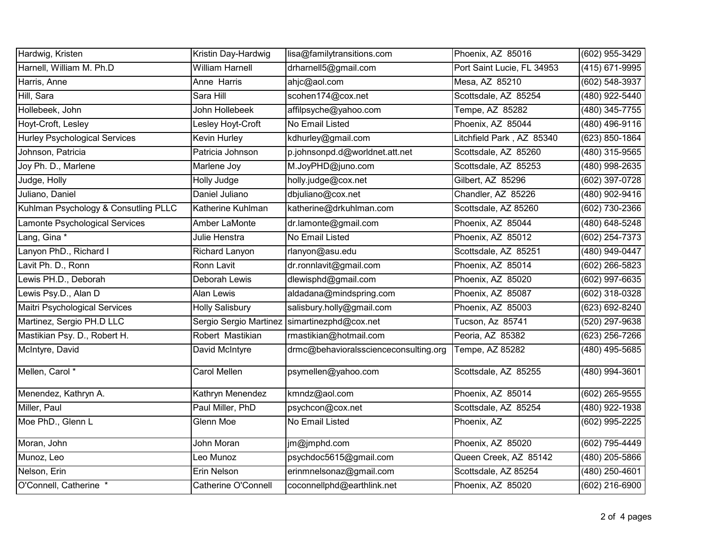| Hardwig, Kristen                     | Kristin Day-Hardwig        | lisa@familytransitions.com                     | Phoenix, AZ 85016          | (602) 955-3429     |
|--------------------------------------|----------------------------|------------------------------------------------|----------------------------|--------------------|
| Harnell, William M. Ph.D             | <b>William Harnell</b>     | drharnell5@gmail.com                           | Port Saint Lucie, FL 34953 | $(415)$ 671-9995   |
| Harris, Anne                         | Anne Harris                | ahjc@aol.com                                   | Mesa, AZ 85210             | (602) 548-3937     |
| Hill, Sara                           | Sara Hill                  | scohen174@cox.net                              | Scottsdale, AZ 85254       | (480) 922-5440     |
| Hollebeek, John                      | John Hollebeek             | affilpsyche@yahoo.com                          | Tempe, AZ 85282            | $(480)$ 345-7755   |
| Hoyt-Croft, Lesley                   | Lesley Hoyt-Croft          | No Email Listed                                | Phoenix, AZ 85044          | $(480)$ 496-9116   |
| <b>Hurley Psychological Services</b> | Kevin Hurley               | kdhurley@gmail.com                             | Litchfield Park, AZ 85340  | (623) 850-1864     |
| Johnson, Patricia                    | Patricia Johnson           | p.johnsonpd.d@worldnet.att.net                 | Scottsdale, AZ 85260       | (480) 315-9565     |
| Joy Ph. D., Marlene                  | Marlene Joy                | M.JoyPHD@juno.com                              | Scottsdale, AZ 85253       | (480) 998-2635     |
| Judge, Holly                         | Holly Judge                | holly.judge@cox.net                            | Gilbert, AZ 85296          | (602) 397-0728     |
| Juliano, Daniel                      | Daniel Juliano             | dbjuliano@cox.net                              | Chandler, AZ 85226         | $(480)$ 902-9416   |
| Kuhlman Psychology & Consutling PLLC | Katherine Kuhlman          | katherine@drkuhlman.com                        | Scottsdale, AZ 85260       | (602) 730-2366     |
| Lamonte Psychological Services       | Amber LaMonte              | dr.lamonte@gmail.com                           | Phoenix, AZ 85044          | (480) 648-5248     |
| Lang, Gina *                         | Julie Henstra              | No Email Listed                                | Phoenix, AZ 85012          | (602) 254-7373     |
| Lanyon PhD., Richard I               | Richard Lanyon             | rlanyon@asu.edu                                | Scottsdale, AZ 85251       | (480) 949-0447     |
| Lavit Ph. D., Ronn                   | Ronn Lavit                 | dr.ronnlavit@gmail.com                         | Phoenix, AZ 85014          | (602) 266-5823     |
| Lewis PH.D., Deborah                 | Deborah Lewis              | dlewisphd@gmail.com                            | Phoenix, AZ 85020          | (602) 997-6635     |
| Lewis Psy.D., Alan D                 | <b>Alan Lewis</b>          | aldadana@mindspring.com                        | Phoenix, AZ 85087          | (602) 318-0328     |
| <b>Maitri Psychological Services</b> | <b>Holly Salisbury</b>     | salisbury.holly@gmail.com                      | Phoenix, AZ 85003          | $(623) 692 - 8240$ |
| Martinez, Sergio PH.D LLC            |                            | Sergio Sergio Martinez   simartinezphd@cox.net | Tucson, Az 85741           | (520) 297-9638     |
| Mastikian Psy. D., Robert H.         | Robert Mastikian           | rmastikian@hotmail.com                         | Peoria, AZ 85382           | (623) 256-7266     |
| McIntyre, David                      | David McIntyre             | drmc@behavioralsscienceconsulting.org          | Tempe, AZ 85282            | (480) 495-5685     |
| Mellen, Carol *                      | Carol Mellen               | psymellen@yahoo.com                            | Scottsdale, AZ 85255       | (480) 994-3601     |
| Menendez, Kathryn A.                 | Kathryn Menendez           | kmndz@aol.com                                  | Phoenix, AZ 85014          | (602) 265-9555     |
| Miller, Paul                         | Paul Miller, PhD           | psychcon@cox.net                               | Scottsdale, AZ 85254       | (480) 922-1938     |
| Moe PhD., Glenn L                    | Glenn Moe                  | No Email Listed                                | Phoenix, AZ                | $(602)$ 995-2225   |
| Moran, John                          | John Moran                 | jm@jmphd.com                                   | Phoenix, AZ 85020          | (602) 795-4449     |
| Munoz, Leo                           | Leo Munoz                  | psychdoc5615@gmail.com                         | Queen Creek, AZ 85142      | $(480)$ 205-5866   |
| Nelson, Erin                         | Erin Nelson                | erinmnelsonaz@gmail.com                        | Scottsdale, AZ 85254       | (480) 250-4601     |
| O'Connell, Catherine *               | <b>Catherine O'Connell</b> | coconnellphd@earthlink.net                     | Phoenix, AZ 85020          | $(602)$ 216-6900   |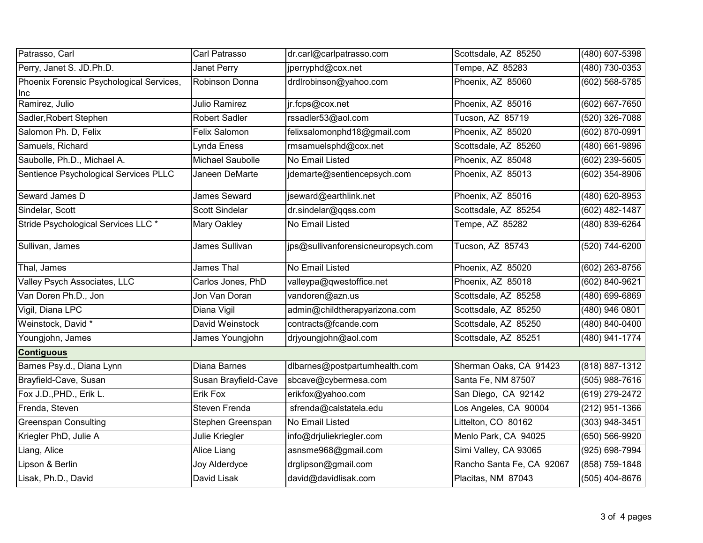| Patrasso, Carl                                  | Carl Patrasso        | dr.carl@carlpatrasso.com           | Scottsdale, AZ 85250      | $(480)$ 607-5398   |
|-------------------------------------------------|----------------------|------------------------------------|---------------------------|--------------------|
| Perry, Janet S. JD.Ph.D.                        | Janet Perry          | jperryphd@cox.net                  | Tempe, AZ 85283           | $(480)$ 730-0353   |
| Phoenix Forensic Psychological Services,<br>Inc | Robinson Donna       | drdlrobinson@yahoo.com             | Phoenix, AZ 85060         | (602) 568-5785     |
| Ramirez, Julio                                  | <b>Julio Ramirez</b> | jr.fcps@cox.net                    | Phoenix, AZ 85016         | $(602) 667 - 7650$ |
| Sadler, Robert Stephen                          | <b>Robert Sadler</b> | rssadler53@aol.com                 | Tucson, AZ 85719          | (520) 326-7088     |
| Salomon Ph. D, Felix                            | Felix Salomon        | felixsalomonphd18@gmail.com        | Phoenix, AZ 85020         | $(602) 870 - 0991$ |
| Samuels, Richard                                | Lynda Eness          | rmsamuelsphd@cox.net               | Scottsdale, AZ 85260      | $(480)$ 661-9896   |
| Saubolle, Ph.D., Michael A.                     | Michael Saubolle     | No Email Listed                    | Phoenix, AZ 85048         | (602) 239-5605     |
| Sentience Psychological Services PLLC           | Janeen DeMarte       | jdemarte@sentiencepsych.com        | Phoenix, AZ 85013         | (602) 354-8906     |
| Seward James D                                  | <b>James Seward</b>  | jseward@earthlink.net              | Phoenix, AZ 85016         | (480) 620-8953     |
| Sindelar, Scott                                 | Scott Sindelar       | dr.sindelar@qqss.com               | Scottsdale, AZ 85254      | $(602)$ 482-1487   |
| Stride Psychological Services LLC *             | Mary Oakley          | No Email Listed                    | Tempe, AZ 85282           | (480) 839-6264     |
| Sullivan, James                                 | James Sullivan       | jps@sullivanforensicneuropsych.com | Tucson, AZ 85743          | $(520)$ 744-6200   |
| Thal, James                                     | <b>James Thal</b>    | No Email Listed                    | Phoenix, AZ 85020         | $(602)$ 263-8756   |
| Valley Psych Associates, LLC                    | Carlos Jones, PhD    | valleypa@qwestoffice.net           | Phoenix, AZ 85018         | (602) 840-9621     |
| Van Doren Ph.D., Jon                            | Jon Van Doran        | vandoren@azn.us                    | Scottsdale, AZ 85258      | (480) 699-6869     |
| Vigil, Diana LPC                                | Diana Vigil          | admin@childtherapyarizona.com      | Scottsdale, AZ 85250      | $(480)$ 946 0801   |
| Weinstock, David *                              | David Weinstock      | contracts@fcande.com               | Scottsdale, AZ 85250      | $(480) 840 - 0400$ |
| Youngjohn, James                                | James Youngjohn      | drjyoungjohn@aol.com               | Scottsdale, AZ 85251      | $(480)$ 941-1774   |
| <b>Contiguous</b>                               |                      |                                    |                           |                    |
| Barnes Psy.d., Diana Lynn                       | Diana Barnes         | dlbarnes@postpartumhealth.com      | Sherman Oaks, CA 91423    | (818) 887-1312     |
| Brayfield-Cave, Susan                           | Susan Brayfield-Cave | sbcave@cybermesa.com               | Santa Fe, NM 87507        | $(505)$ 988-7616   |
| Fox J.D., PHD., Erik L.                         | Erik Fox             | erikfox@yahoo.com                  | San Diego, CA 92142       | (619) 279-2472     |
| Frenda, Steven                                  | Steven Frenda        | sfrenda@calstatela.edu             | Los Angeles, CA 90004     | (212) 951-1366     |
| Greenspan Consulting                            | Stephen Greenspan    | No Email Listed                    | Littelton, CO 80162       | (303) 948-3451     |
| Kriegler PhD, Julie A                           | Julie Kriegler       | info@drjuliekriegler.com           | Menlo Park, CA 94025      | (650) 566-9920     |
| Liang, Alice                                    | Alice Liang          | asnsme968@gmail.com                | Simi Valley, CA 93065     | (925) 698-7994     |
| Lipson & Berlin                                 | Joy Alderdyce        | drglipson@gmail.com                | Rancho Santa Fe, CA 92067 | (858) 759-1848     |
| Lisak, Ph.D., David                             | David Lisak          | david@davidlisak.com               | Placitas, NM 87043        | $(505)$ 404-8676   |